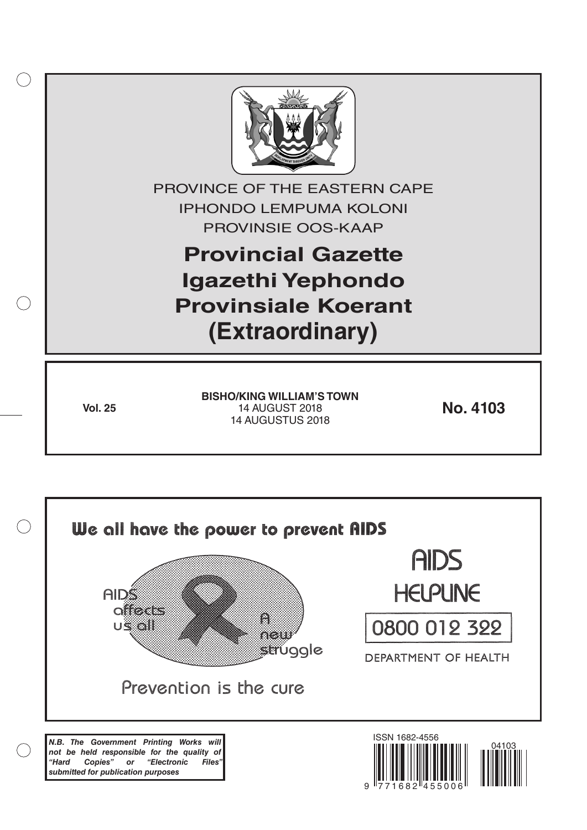

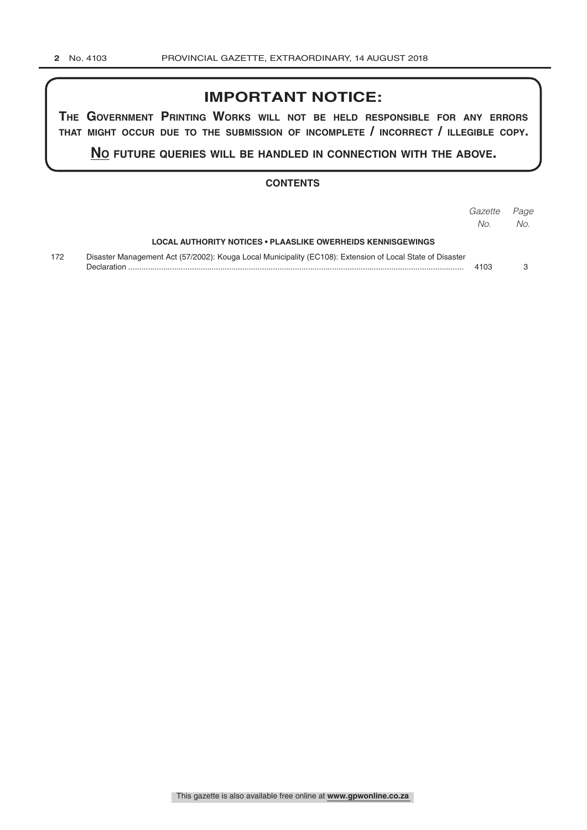# **IMPORTANT NOTICE:**

**The GovernmenT PrinTinG Works Will noT be held resPonsible for any errors ThaT miGhT occur due To The submission of incomPleTe / incorrecT / illeGible coPy.**

**no fuTure queries Will be handled in connecTion WiTh The above.**

#### **CONTENTS**

|     |                                                                                                                          | Gazette<br>No. | Page<br>No. |
|-----|--------------------------------------------------------------------------------------------------------------------------|----------------|-------------|
|     | LOCAL AUTHORITY NOTICES • PLAASLIKE OWERHEIDS KENNISGEWINGS                                                              |                |             |
| 172 | Disaster Management Act (57/2002): Kouga Local Municipality (EC108): Extension of Local State of Disaster<br>Declaration | 4103           |             |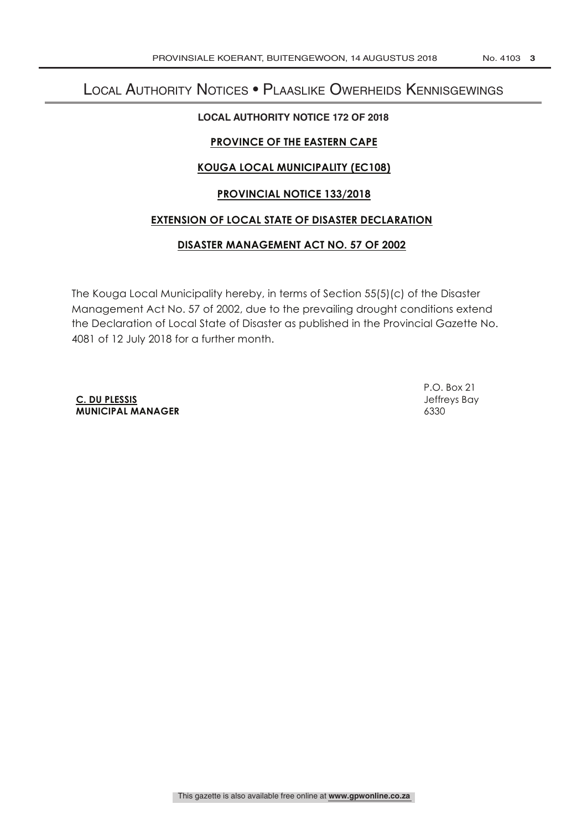# Local Authority Notices • Plaaslike Owerheids Kennisgewings

#### **LOCAL AUTHORITY NOTICE 172 OF 2018**

# **PROVINCE OF THE EASTERN CAPE**

## **KOUGA LOCAL MUNICIPALITY (EC108)**

### **PROVINCIAL NOTICE 133/2018**

#### **EXTENSION OF LOCAL STATE OF DISASTER DECLARATION**

## **DISASTER MANAGEMENT ACT NO. 57 OF 2002**

The Kouga Local Municipality hereby, in terms of Section 55(5)(c) of the Disaster Management Act No. 57 of 2002, due to the prevailing drought conditions extend the Declaration of Local State of Disaster as published in the Provincial Gazette No. 4081 of 12 July 2018 for a further month.

**C. DU PLESSIS** Jeffreys Bay **MUNICIPAL MANAGER** 6330

P.O. Box 21